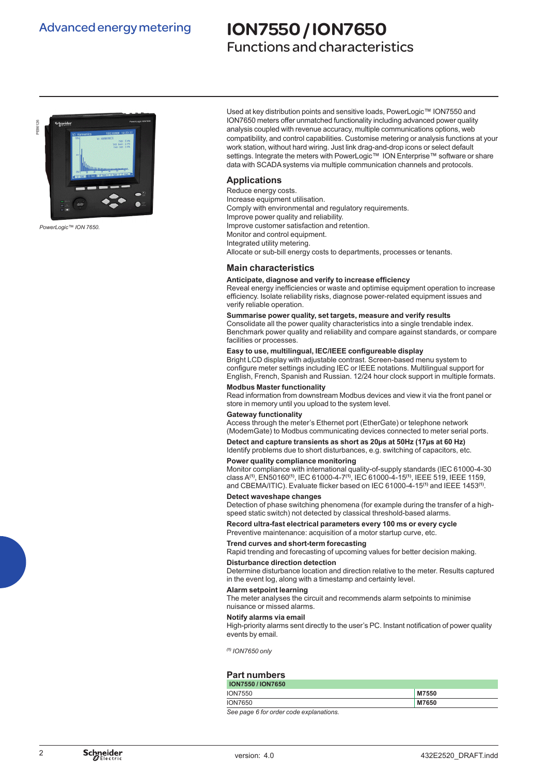### Advanced energy metering

# ION7550 / ION7650

### Functions and characteristics



*PowerLogic™ ION 7650.*

Used at key distribution points and sensitive loads, PowerLogic™ ION7550 and ION7650 meters offer unmatched functionality including advanced power quality analysis coupled with revenue accuracy, multiple communications options, web compatibility, and control capabilities. Customise metering or analysis functions at your work station, without hard wiring. Just link drag-and-drop icons or select default settings. Integrate the meters with PowerLogic™ ION Enterprise™ software or share data with SCADA systems via multiple communication channels and protocols.

#### **Applications**

Reduce energy costs. Increase equipment utilisation. Comply with environmental and regulatory requirements. Improve power quality and reliability. Improve customer satisfaction and retention. Monitor and control equipment. Integrated utility metering. Allocate or sub-bill energy costs to departments, processes or tenants.

#### **Main characteristics**

#### **Anticipate, diagnose and verify to increase efficiency**

Reveal energy inefficiencies or waste and optimise equipment operation to increase efficiency. Isolate reliability risks, diagnose power-related equipment issues and verify reliable operation.

#### **Summarise power quality, set targets, measure and verify results**

Consolidate all the power quality characteristics into a single trendable index. Benchmark power quality and reliability and compare against standards, or compare facilities or processes.

#### **Easy to use, multilingual, IEC/IEEE configureable display**

Bright LCD display with adjustable contrast. Screen-based menu system to configure meter settings including IEC or IEEE notations. Multilingual support for English, French, Spanish and Russian. 12/24 hour clock support in multiple formats.

#### **Modbus Master functionality**

Read information from downstream Modbus devices and view it via the front panel or store in memory until you upload to the system level.

#### **Gateway functionality**

Access through the meter's Ethernet port (EtherGate) or telephone network (ModemGate) to Modbus communicating devices connected to meter serial ports.

#### **Detect and capture transients as short as 20µs at 50Hz (17µs at 60 Hz)**

Identify problems due to short disturbances, e.g. switching of capacitors, etc.

#### **Power quality compliance monitoring**

Monitor compliance with international quality-of-supply standards (IEC 61000-4-30 class A**(1)**, EN50160**(1)**, IEC 61000-4-7**(1)**, IEC 61000-4-15**(1)**, IEEE 519, IEEE 1159, and CBEMA/ITIC). Evaluate flicker based on IEC 61000-4-15**(1)** and IEEE 1453**(1)**.

#### **Detect waveshape changes**

Detection of phase switching phenomena (for example during the transfer of a highspeed static switch) not detected by classical threshold-based alarms.

#### **Record ultra-fast electrical parameters every 100 ms or every cycle**

Preventive maintenance: acquisition of a motor startup curve, etc.

#### **Trend curves and short-term forecasting**

Rapid trending and forecasting of upcoming values for better decision making.

#### **Disturbance direction detection**

Determine disturbance location and direction relative to the meter. Results captured in the event log, along with a timestamp and certainty level.

#### **Alarm setpoint learning**

The meter analyses the circuit and recommends alarm setpoints to minimise nuisance or missed alarms.

#### **Notify alarms via email**

High-priority alarms sent directly to the user's PC. Instant notification of power quality events by email.

*(1) ION7650 only*

#### **Part numbers**

| <b>ION7550 / ION7650</b> |       |
|--------------------------|-------|
| <b>ION7550</b>           | M7550 |
| <b>ION7650</b>           | M7650 |

*See page 6 for order code explanations.*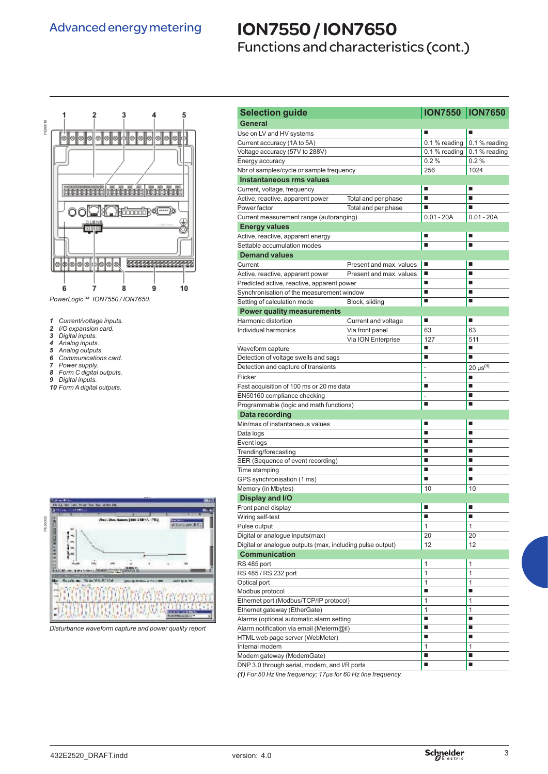## ION7550 / ION7650

Functions and characteristics (cont.)



- *1 Current/voltage inputs.*
- *2 I/O expansion card.*
- *3 Digital inputs.*
- *4 Analog inputs.*
- *5 Analog outputs. 6 Communications card.*
- *7 Power supply.*
- *8 Form C digital outputs.*
- *9 Digital inputs.*
- *10 Form A digital outputs.*



*Disturbance waveform capture and power quality report* 

| <b>Selection guide</b>                                                                       |                         | <b>ION7550  ION7650</b> |                    |
|----------------------------------------------------------------------------------------------|-------------------------|-------------------------|--------------------|
| General                                                                                      |                         |                         |                    |
| Use on LV and HV systems                                                                     |                         |                         |                    |
| Current accuracy (1A to 5A)                                                                  |                         | $0.1%$ reading          | 0.1 % reading      |
| Voltage accuracy (57V to 288V)                                                               |                         | 0.1 % reading           | 0.1 % reading      |
| Energy accuracy                                                                              |                         | 0.2%                    | 0.2%               |
| Nbr of samples/cycle or sample frequency                                                     |                         | 256                     | 1024               |
| Instantaneous rms values                                                                     |                         |                         |                    |
| Current, voltage, frequency                                                                  |                         | п                       | п                  |
| Active, reactive, apparent power                                                             | Total and per phase     | п                       | п                  |
| Power factor                                                                                 | Total and per phase     | п                       | ٠                  |
| Current measurement range (autoranging)                                                      |                         | $0.01 - 20A$            | $0.01 - 20A$       |
| <b>Energy values</b>                                                                         |                         |                         |                    |
| Active, reactive, apparent energy                                                            | п                       | п                       |                    |
| Settable accumulation modes                                                                  |                         | П                       | п                  |
| <b>Demand values</b>                                                                         |                         |                         |                    |
| Current                                                                                      | Present and max. values | п                       | п                  |
| Active, reactive, apparent power                                                             | Present and max. values | ■                       |                    |
| Predicted active, reactive, apparent power                                                   |                         | п                       | ٠                  |
| Synchronisation of the measurement window                                                    |                         | ■                       | п                  |
| Setting of calculation mode                                                                  | Block, sliding          | п                       | п                  |
| <b>Power quality measurements</b>                                                            |                         |                         |                    |
| Harmonic distortion                                                                          | Current and voltage     | п                       | ٠                  |
| Individual harmonics                                                                         | Via front panel         | 63                      | 63                 |
|                                                                                              | Via ION Enterprise      | 127                     | 511                |
| Waveform capture                                                                             |                         | ■                       | п                  |
| Detection of voltage swells and sags                                                         |                         | ■                       | п                  |
| Detection and capture of transients                                                          |                         | $\overline{a}$          | $20 \,\mu s^{(1)}$ |
| Flicker                                                                                      |                         | L.                      | п                  |
| Fast acquisition of 100 ms or 20 ms data                                                     | ■                       | п                       |                    |
| EN50160 compliance checking                                                                  |                         | ÷.                      | ٠                  |
| Programmable (logic and math functions)                                                      |                         | ■                       | ■                  |
| Data recording                                                                               |                         |                         |                    |
| Min/max of instantaneous values                                                              |                         | п                       | п                  |
| Data logs                                                                                    | п                       | п                       |                    |
| Event logs                                                                                   |                         | п                       | п                  |
| Trending/forecasting                                                                         |                         | ■<br>п                  | ■<br>п             |
| SER (Sequence of event recording)                                                            |                         | п                       | п                  |
|                                                                                              |                         | ■                       | ■                  |
| Time stamping<br>GPS synchronisation (1 ms)                                                  |                         |                         |                    |
| Memory (in Mbytes)                                                                           |                         | 10                      | 10                 |
| Display and I/O                                                                              |                         | ■                       | п                  |
| Front panel display                                                                          |                         |                         |                    |
| Wiring self-test                                                                             |                         |                         |                    |
| Pulse output                                                                                 |                         | $\mathbf{1}$            | $\mathbf{1}$       |
| Digital or analogue inputs(max)<br>Digital or analogue outputs (max, including pulse output) |                         | 20<br>12                | 20<br>12           |
|                                                                                              |                         |                         |                    |
| <b>Communication</b>                                                                         |                         |                         |                    |
| RS 485 port                                                                                  |                         | 1                       | 1                  |
| RS 485 / RS 232 port                                                                         |                         | 1                       | $\mathbf{1}$<br>1  |
| Optical port<br>Modbus protocol                                                              | 1<br>п                  | ٠                       |                    |
| Ethernet port (Modbus/TCP/IP protocol)                                                       |                         | 1                       | 1                  |
| Ethernet gateway (EtherGate)                                                                 | 1                       | $\mathbf{1}$            |                    |
| Alarms (optional automatic alarm setting                                                     | п                       | ٠                       |                    |
| Alarm notification via email (Meterm@il)                                                     |                         | $\blacksquare$          | п                  |
| HTML web page server (WebMeter)                                                              |                         | $\blacksquare$          | п                  |
| Internal modem                                                                               |                         | 1                       | 1                  |
| Modem gateway (ModemGate)                                                                    |                         | $\blacksquare$          | п                  |
| DNP 3.0 through serial, modem, and I/R ports                                                 |                         | ш                       | ш                  |
|                                                                                              |                         |                         |                    |

*(1) For 50 Hz line frequency; 17µs for 60 Hz line frequency.*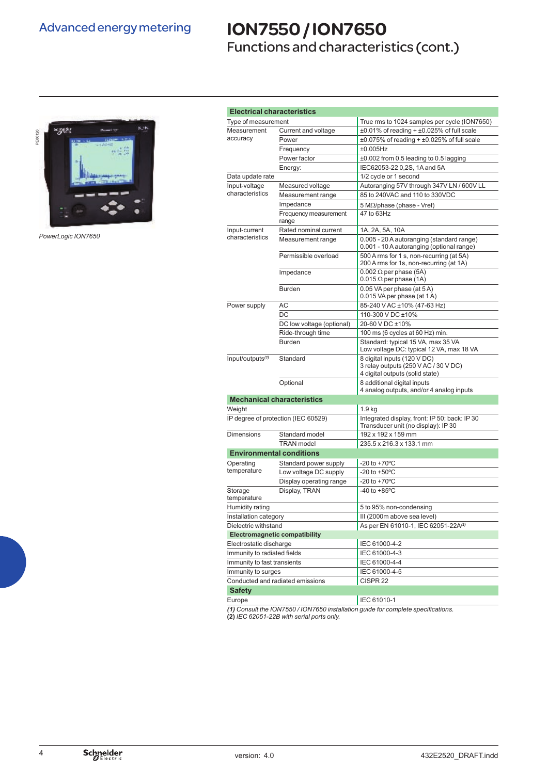## ION7550 / ION7650

Functions and characteristics (cont.)



*PowerLogic ION7650*

| <b>Electrical characteristics</b>    |                                   |                                                                                                        |  |  |
|--------------------------------------|-----------------------------------|--------------------------------------------------------------------------------------------------------|--|--|
| Type of measurement                  |                                   | True rms to 1024 samples per cycle (ION7650)                                                           |  |  |
| Measurement                          | Current and voltage               | $\pm 0.01\%$ of reading + $\pm 0.025\%$ of full scale                                                  |  |  |
| accuracy                             | Power                             | $\pm 0.075\%$ of reading + $\pm 0.025\%$ of full scale                                                 |  |  |
|                                      | Frequency                         | $±0.005$ Hz                                                                                            |  |  |
|                                      | Power factor                      | ±0.002 from 0.5 leading to 0.5 lagging                                                                 |  |  |
|                                      | Energy:                           | IEC62053-22 0,2S, 1A and 5A                                                                            |  |  |
| Data update rate                     |                                   | 1/2 cycle or 1 second                                                                                  |  |  |
| Input-voltage                        | Measured voltage                  | Autoranging 57V through 347V LN / 600V LL                                                              |  |  |
| characteristics                      | Measurement range                 | 85 to 240VAC and 110 to 330VDC                                                                         |  |  |
|                                      | Impedance                         | 5 M $\Omega$ /phase (phase - Vref)                                                                     |  |  |
|                                      | Frequency measurement<br>range    | 47 to 63Hz                                                                                             |  |  |
| Input-current                        | Rated nominal current             | 1A, 2A, 5A, 10A                                                                                        |  |  |
| characteristics                      | Measurement range                 | 0.005 - 20 A autoranging (standard range)<br>0.001 - 10 A autoranging (optional range)                 |  |  |
|                                      | Permissible overload              | 500 A rms for 1 s, non-recurring (at 5A)<br>200 A rms for 1s, non-recurring (at 1A)                    |  |  |
|                                      | Impedance                         | $0.002 \Omega$ per phase (5A)<br>$0.015 \Omega$ per phase (1A)                                         |  |  |
|                                      | <b>Burden</b>                     | 0.05 VA per phase (at 5 A)<br>0.015 VA per phase (at 1 A)                                              |  |  |
| Power supply                         | АC                                | 85-240 VAC ±10% (47-63 Hz)                                                                             |  |  |
|                                      | DC                                | 110-300 V DC ±10%                                                                                      |  |  |
|                                      | DC low voltage (optional)         | 20-60 V DC ±10%                                                                                        |  |  |
|                                      | Ride-through time                 | 100 ms (6 cycles at 60 Hz) min.                                                                        |  |  |
|                                      | <b>Burden</b>                     | Standard: typical 15 VA, max 35 VA<br>Low voltage DC: typical 12 VA, max 18 VA                         |  |  |
| Input/outputs <sup>(1)</sup>         | Standard                          | 8 digital inputs (120 V DC)<br>3 relay outputs (250 V AC / 30 V DC)<br>4 digital outputs (solid state) |  |  |
|                                      | Optional                          | 8 additional digital inputs<br>4 analog outputs, and/or 4 analog inputs                                |  |  |
|                                      | <b>Mechanical characteristics</b> |                                                                                                        |  |  |
| Weight                               |                                   | 1.9 <sub>kg</sub>                                                                                      |  |  |
| IP degree of protection (IEC 60529)  |                                   | Integrated display, front: IP 50; back: IP 30<br>Transducer unit (no display): IP 30                   |  |  |
| <b>Dimensions</b>                    | Standard model                    | 192 x 192 x 159 mm                                                                                     |  |  |
|                                      | <b>TRAN</b> model                 | 235.5 x 216.3 x 133.1 mm                                                                               |  |  |
| <b>Environmental conditions</b>      |                                   |                                                                                                        |  |  |
| Operating                            | Standard power supply             | $-20$ to $+70^{\circ}$ C                                                                               |  |  |
| temperature                          | Low voltage DC supply             | -20 to $+50^{\circ}$ C                                                                                 |  |  |
|                                      | Display operating range           | $-20$ to $+70^{\circ}$ C                                                                               |  |  |
| Storage<br>temperature               | Display, TRAN                     | $-40$ to $+85^{\circ}$ C                                                                               |  |  |
| Humidity rating                      |                                   | 5 to 95% non-condensing                                                                                |  |  |
| Installation category                |                                   | III (2000m above sea level)                                                                            |  |  |
| Dielectric withstand                 |                                   | As per EN 61010-1, IEC 62051-22A(2)                                                                    |  |  |
| <b>Electromagnetic compatibility</b> |                                   |                                                                                                        |  |  |
| Electrostatic discharge              |                                   | IEC 61000-4-2                                                                                          |  |  |
| Immunity to radiated fields          |                                   | IEC 61000-4-3                                                                                          |  |  |
| Immunity to fast transients          |                                   | IEC 61000-4-4                                                                                          |  |  |
| Immunity to surges                   |                                   | IEC 61000-4-5                                                                                          |  |  |
|                                      | Conducted and radiated emissions  | CISPR <sub>22</sub>                                                                                    |  |  |
| <b>Safety</b>                        |                                   |                                                                                                        |  |  |
| Europe                               |                                   | IEC 61010-1                                                                                            |  |  |
|                                      |                                   | (1) Consult the ION7550/ION7650 installation quide for complete specifications.                        |  |  |

*(1) Consult the ION7550 / ION7650 installation guide for complete specifications.* **(2)** *IEC 62051-22B with serial ports only.*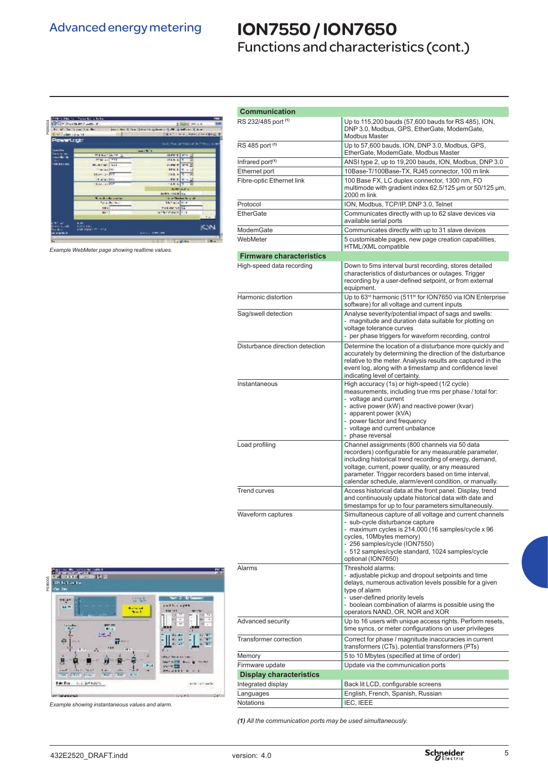### Advanced energy metering

## ION7550 / ION7650

Functions and characteristics (cont.)



*Example WebMeter page showing realtime values.*

|                                                                                                                                            | <b>Communication</b>                                        |                                                                                                                                                                                                                                                                                                                                         |
|--------------------------------------------------------------------------------------------------------------------------------------------|-------------------------------------------------------------|-----------------------------------------------------------------------------------------------------------------------------------------------------------------------------------------------------------------------------------------------------------------------------------------------------------------------------------------|
| <b>LENDT PATRICK WAS</b><br>and the Chine Shares school<br><b>COMPANY CAM</b><br>ALCOHOL: NATIONAL CONTRACT                                | RS 232/485 port (1)                                         | Up to 115,200 bauds (57,600 bauds for RS 485), ION,<br>DNP 3.0, Modbus, GPS, EtherGate, ModemGate,<br><b>Modbus Master</b>                                                                                                                                                                                                              |
| <b>PowerLight</b><br>449.75<br>---<br><b>MERGIN ALM</b>                                                                                    | RS 485 port (1)                                             | Up to 57,600 bauds, ION, DNP 3.0, Modbus, GPS,<br>EtherGate, ModemGate, Modbus Master                                                                                                                                                                                                                                                   |
| <b>PENDING</b><br>1222<br>mati m<br><b>Hubrist Sal</b><br>new Part 2<br>www.htm<br>1721                                                    | Infrared port <sup>(1)</sup><br>Ethernet port               | ANSI type 2, up to 19,200 bauds, ION, Modbus, DNP 3.0<br>10Base-T/100Base-TX, RJ45 connector, 100 m link                                                                                                                                                                                                                                |
| Harvard TT<br>163.9<br><b>U.240</b><br><b>Carlotte</b><br><b>Baker and Fire</b><br>4.3 <sub>h</sub><br><b>PUTP AT</b><br><b>MARTINE</b> TH | Fibre-optic Ethernet link                                   | 100 Base FX, LC duplex connector, 1300 nm, FO<br>multimode with gradient index 62.5/125 µm or 50/125 µm,<br>2000 m link                                                                                                                                                                                                                 |
| <b>Contract Service</b><br><b>Car The And St o</b><br>16 Finite Pink<br>$  -$<br>value st 14<br>181                                        | Protocol                                                    | ION, Modbus, TCP/IP, DNP 3.0, Telnet                                                                                                                                                                                                                                                                                                    |
| <b>STEWART STE</b>                                                                                                                         | <b>EtherGate</b>                                            | Communicates directly with up to 62 slave devices via<br>available serial ports                                                                                                                                                                                                                                                         |
| $\frac{1}{2}$<br>κм                                                                                                                        | ModemGate                                                   | Communicates directly with up to 31 slave devices                                                                                                                                                                                                                                                                                       |
|                                                                                                                                            | WebMeter                                                    | 5 customisable pages, new page creation capabilities,<br>HTML/XML compatible                                                                                                                                                                                                                                                            |
| Example WebMeter page showing realtime values.                                                                                             | <b>Firmware characteristics</b>                             |                                                                                                                                                                                                                                                                                                                                         |
|                                                                                                                                            | High-speed data recording                                   | Down to 5ms interval burst recording, stores detailed<br>characteristics of disturbances or outages. Trigger<br>recording by a user-defined setpoint, or from external<br>equipment.                                                                                                                                                    |
|                                                                                                                                            | Harmonic distortion                                         | Up to 63 <sup>rd</sup> harmonic (511 <sup>th</sup> for ION7650 via ION Enterprise<br>software) for all voltage and current inputs                                                                                                                                                                                                       |
|                                                                                                                                            | Sag/swell detection                                         | Analyse severity/potential impact of sags and swells:<br>- magnitude and duration data suitable for plotting on<br>voltage tolerance curves<br>- per phase triggers for waveform recording, control                                                                                                                                     |
|                                                                                                                                            | Disturbance direction detection                             | Determine the location of a disturbance more quickly and<br>accurately by determining the direction of the disturbance<br>relative to the meter. Analysis results are captured in the<br>event log, along with a timestamp and confidence level<br>indicating level of certainty.                                                       |
|                                                                                                                                            | Instantaneous                                               | High accuracy (1s) or high-speed (1/2 cycle)<br>measurements, including true rms per phase / total for:<br>- voltage and current<br>- active power (kW) and reactive power (kvar)<br>- apparent power (kVA)<br>- power factor and frequency<br>- voltage and current unbalance<br>- phase reversal                                      |
|                                                                                                                                            | Load profiling                                              | Channel assignments (800 channels via 50 data<br>recorders) configurable for any measurable parameter,<br>including historical trend recording of energy, demand,<br>voltage, current, power quality, or any measured<br>parameter. Trigger recorders based on time interval,<br>calendar schedule, alarm/event condition, or manually. |
|                                                                                                                                            | <b>Trend curves</b>                                         | Access historical data at the front panel. Display, trend<br>and continuously update historical data with date and<br>timestamps for up to four parameters simultaneously.                                                                                                                                                              |
|                                                                                                                                            | Waveform captures                                           | Simultaneous capture of all voltage and current channels<br>- sub-cycle disturbance capture<br>- maximum cycles is 214,000 (16 samples/cycle x 96<br>cycles, 10Mbytes memory)<br>- 256 samples/cycle (ION7550)<br>- 512 samples/cycle standard, 1024 samples/cycle<br>optional (ION7650)                                                |
| -9                                                                                                                                         | Alarms                                                      | Threshold alarms:<br>- adjustable pickup and dropout setpoints and time<br>delays, numerous activation levels possible for a given<br>type of alarm<br>- user-defined priority levels<br>- boolean combination of alarms is possible using the<br>operators NAND, OR, NOR and XOR                                                       |
|                                                                                                                                            | Advanced security                                           | Up to 16 users with unique access rights. Perform resets,<br>time syncs, or meter configurations on user privileges                                                                                                                                                                                                                     |
| ÷                                                                                                                                          | <b>Transformer correction</b>                               | Correct for phase / magnitude inaccuracies in current<br>transformers (CTs), potential transformers (PTs)                                                                                                                                                                                                                               |
|                                                                                                                                            | Memory                                                      | 5 to 10 Mbytes (specified at time of order)                                                                                                                                                                                                                                                                                             |
|                                                                                                                                            | Firmware update                                             | Update via the communication ports                                                                                                                                                                                                                                                                                                      |
|                                                                                                                                            | <b>Display characteristics</b>                              |                                                                                                                                                                                                                                                                                                                                         |
| U.S. 2000-2019                                                                                                                             | Integrated display                                          | Back lit LCD, configurable screens                                                                                                                                                                                                                                                                                                      |
|                                                                                                                                            | Languages<br><b>Notations</b>                               | English, French, Spanish, Russian<br>IEC, IEEE                                                                                                                                                                                                                                                                                          |
| Example showing instantaneous values and alarm.                                                                                            | (1) All the communication ports may be used simultaneously. |                                                                                                                                                                                                                                                                                                                                         |
| 432E2520 DRAFT.indd                                                                                                                        | version: 4.0                                                | <b>Schneider</b>                                                                                                                                                                                                                                                                                                                        |



PE86005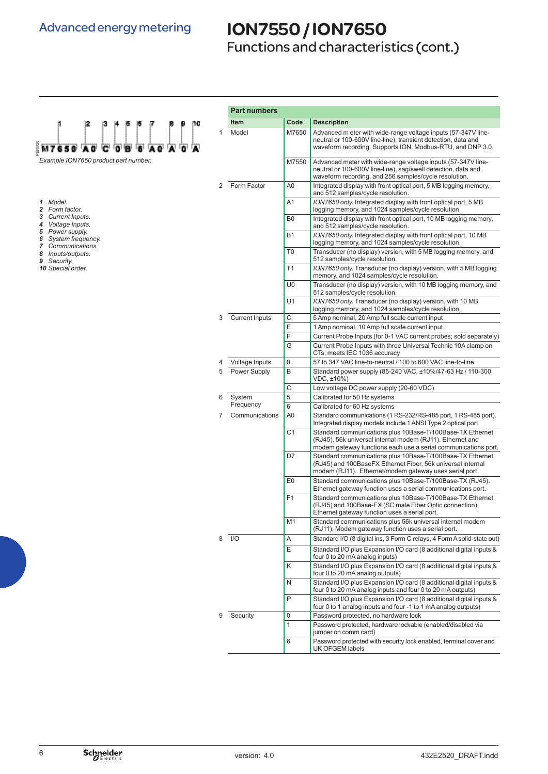### Advanced energy metering

PE86020

*1 Model. Form factor. Current Inputs. Voltage Inputs. Power supply.*

*8 Inputs/outputs.*  $Security.$ *10 Special order.*

### ION7550 / ION7650

Functions and characteristics (cont.)